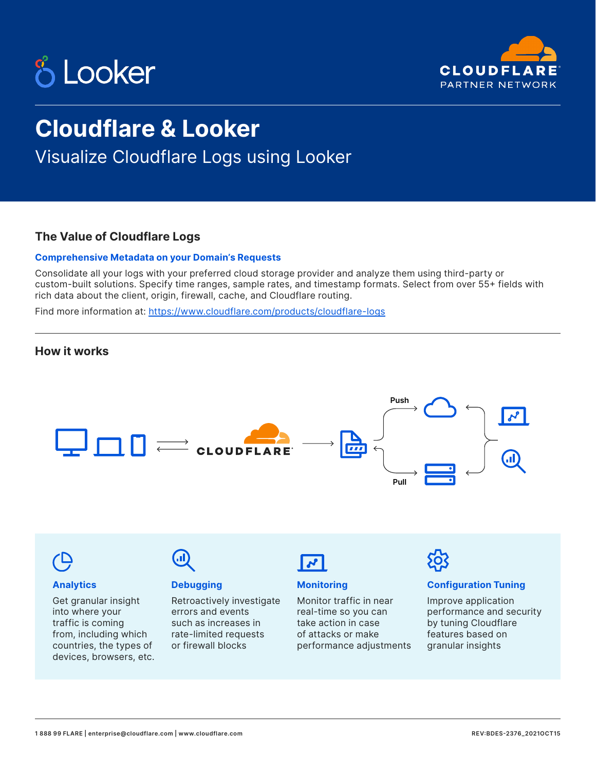



## **Cloudflare & Looker**

Visualize Cloudflare Logs using Looker

#### **The Value of Cloudflare Logs**

#### **Comprehensive Metadata on your Domain's Requests**

Consolidate all your logs with your preferred cloud storage provider and analyze them using third-party or custom-built solutions. Specify time ranges, sample rates, and timestamp formats. Select from over 55+ fields with rich data about the client, origin, firewall, cache, and Cloudflare routing.

Find more information at: <https://www.cloudflare.com/products/cloudflare-logs>



from, including which countries, the types of devices, browsers, etc. rate-limited requests or firewall blocks

of attacks or make performance adjustments features based on granular insights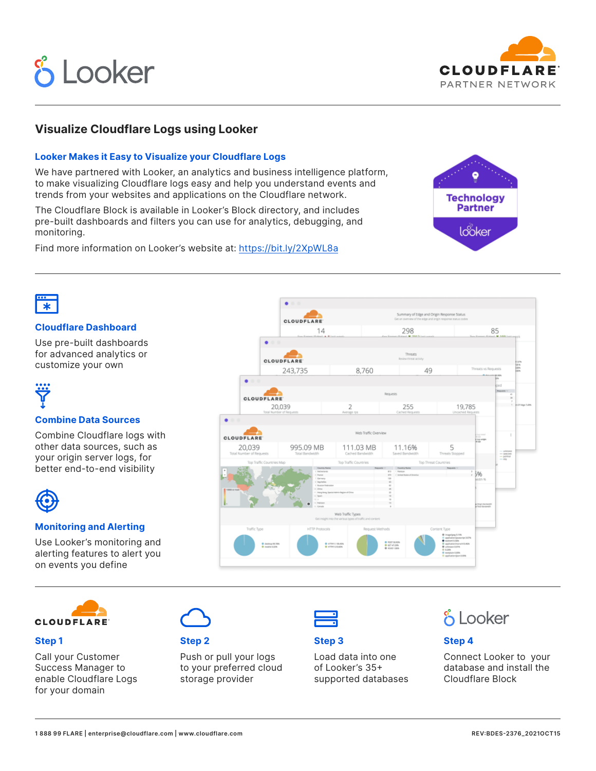# **& Looker**



#### **Visualize Cloudflare Logs using Looker**

#### **Looker Makes it Easy to Visualize your Cloudflare Logs**

We have partnered with Looker, an analytics and business intelligence platform, to make visualizing Cloudflare logs easy and help you understand events and trends from your websites and applications on the Cloudflare network.

The Cloudflare Block is available in Looker's Block directory, and includes pre-built dashboards and filters you can use for analytics, debugging, and monitoring.

Find more information on Looker's website at: [https://bit.ly/2XpWL8a](https://bit.ly/2XpWL8a
)





#### **Cloudflare Dashboard**

Use pre-built dashboards for advanced analytics or customize your own

#### **Combine Data Sources**

Combine Cloudflare logs with other data sources, such as your origin server logs, for better end-to-end visibility



#### **Monitoring and Alerting**

Use Looker's monitoring and alerting features to alert you on events you define





#### **Step 1**

Call your Customer Success Manager to enable Cloudflare Logs for your domain



#### **Step 2**

Push or pull your logs to your preferred cloud storage provider



#### **Step 3**

Load data into one of Looker's 35+ supported databases

### **& Looker**

#### **Step 4**

Connect Looker to your database and install the Cloudflare Block